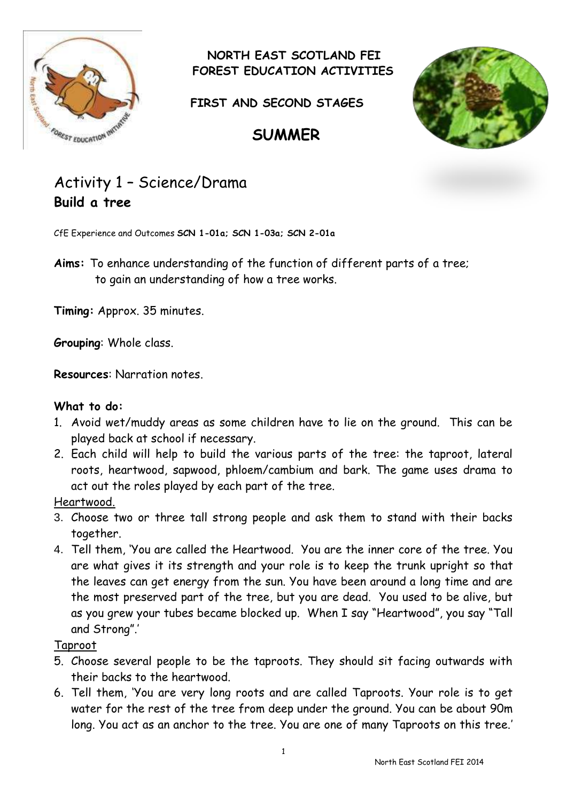

 **NORTH EAST SCOTLAND FEI FOREST EDUCATION ACTIVITIES**

**FIRST AND SECOND STAGES**



# Activity 1 – Science/Drama **Build a tree**

CfE Experience and Outcomes **SCN 1-01a; SCN 1-03a; SCN 2-01a**

**Aims:** To enhance understanding of the function of different parts of a tree; to gain an understanding of how a tree works.

**Timing:** Approx. 35 minutes.

**Grouping**: Whole class.

**Resources**: Narration notes.

### **What to do:**

- 1. Avoid wet/muddy areas as some children have to lie on the ground. This can be played back at school if necessary.
- 2. Each child will help to build the various parts of the tree: the taproot, lateral roots, heartwood, sapwood, phloem/cambium and bark. The game uses drama to act out the roles played by each part of the tree.

#### Heartwood.

- 3. Choose two or three tall strong people and ask them to stand with their backs together.
- 4. Tell them, 'You are called the Heartwood. You are the inner core of the tree. You are what gives it its strength and your role is to keep the trunk upright so that the leaves can get energy from the sun. You have been around a long time and are the most preserved part of the tree, but you are dead. You used to be alive, but as you grew your tubes became blocked up. When I say "Heartwood", you say "Tall and Strong".'

### Taproot

- 5. Choose several people to be the taproots. They should sit facing outwards with their backs to the heartwood.
- 6. Tell them, 'You are very long roots and are called Taproots. Your role is to get water for the rest of the tree from deep under the ground. You can be about 90m long. You act as an anchor to the tree. You are one of many Taproots on this tree.'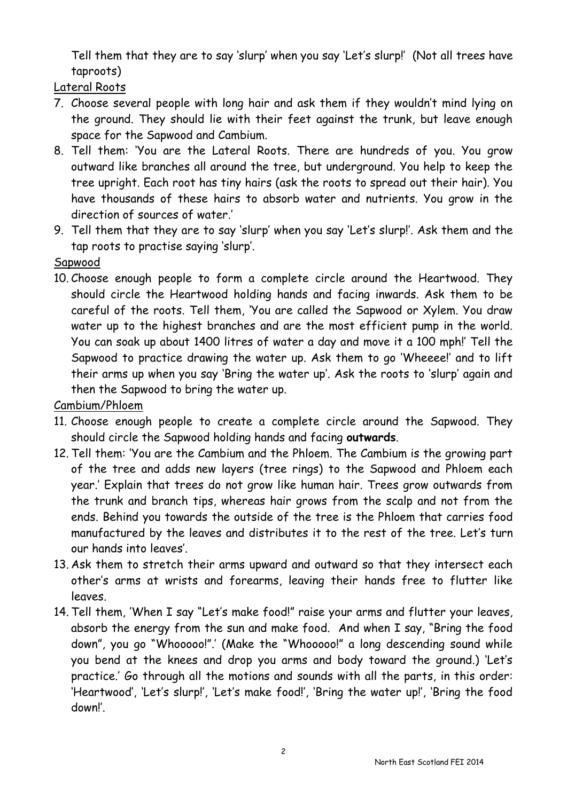Tell them that they are to say 'slurp' when you say 'Let's slurp!' (Not all trees have taproots)

Lateral Roots

- 7. Choose several people with long hair and ask them if they wouldn't mind lying on the ground. They should lie with their feet against the trunk, but leave enough space for the Sapwood and Cambium.
- 8. Tell them: 'You are the Lateral Roots. There are hundreds of you. You grow outward like branches all around the tree, but underground. You help to keep the tree upright. Each root has tiny hairs (ask the roots to spread out their hair). You have thousands of these hairs to absorb water and nutrients. You grow in the direction of sources of water.'
- 9. Tell them that they are to say 'slurp' when you say 'Let's slurp!'. Ask them and the tap roots to practise saying 'slurp'.

Sapwood

10. Choose enough people to form a complete circle around the Heartwood. They should circle the Heartwood holding hands and facing inwards. Ask them to be careful of the roots. Tell them, 'You are called the Sapwood or Xylem. You draw water up to the highest branches and are the most efficient pump in the world. You can soak up about 1400 litres of water a day and move it a 100 mph!' Tell the Sapwood to practice drawing the water up. Ask them to go 'Wheeee!' and to lift their arms up when you say 'Bring the water up'. Ask the roots to 'slurp' again and then the Sapwood to bring the water up.

Cambium/Phloem

- 11. Choose enough people to create a complete circle around the Sapwood. They should circle the Sapwood holding hands and facing **outwards**.
- 12. Tell them: 'You are the Cambium and the Phloem. The Cambium is the growing part of the tree and adds new layers (tree rings) to the Sapwood and Phloem each year.' Explain that trees do not grow like human hair. Trees grow outwards from the trunk and branch tips, whereas hair grows from the scalp and not from the ends. Behind you towards the outside of the tree is the Phloem that carries food manufactured by the leaves and distributes it to the rest of the tree. Let's turn our hands into leaves'.
- 13. Ask them to stretch their arms upward and outward so that they intersect each other's arms at wrists and forearms, leaving their hands free to flutter like leaves.
- 14. Tell them, 'When I say "Let's make food!" raise your arms and flutter your leaves, absorb the energy from the sun and make food. And when I say, "Bring the food down", you go "Whooooo!".' (Make the "Whooooo!" a long descending sound while you bend at the knees and drop you arms and body toward the ground.) 'Let's practice.' Go through all the motions and sounds with all the parts, in this order: 'Heartwood', 'Let's slurp!', 'Let's make food!', 'Bring the water up!', 'Bring the food down!'.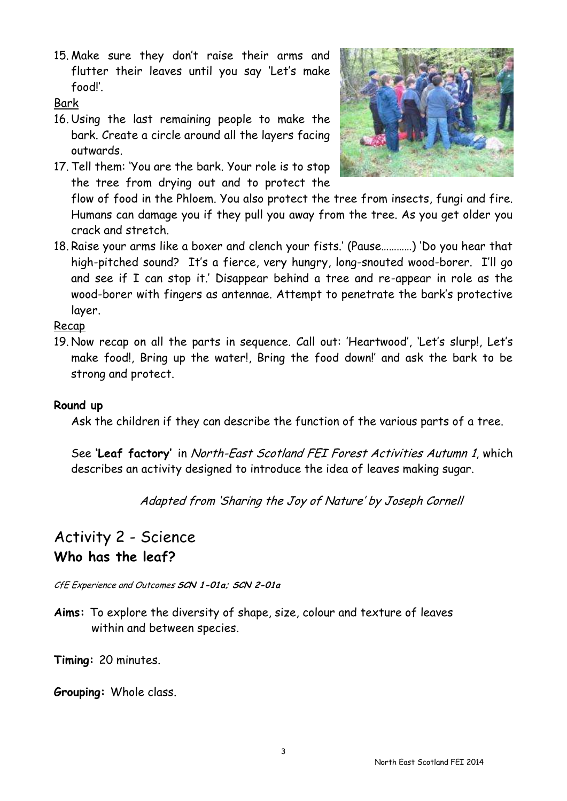15. Make sure they don't raise their arms and flutter their leaves until you say 'Let's make food!'.

### Bark

- 16. Using the last remaining people to make the bark. Create a circle around all the layers facing outwards.
- 17. Tell them: 'You are the bark. Your role is to stop the tree from drying out and to protect the



flow of food in the Phloem. You also protect the tree from insects, fungi and fire. Humans can damage you if they pull you away from the tree. As you get older you crack and stretch.

18. Raise your arms like a boxer and clench your fists.' (Pause…………) 'Do you hear that high-pitched sound? It's a fierce, very hungry, long-snouted wood-borer. I'll go and see if I can stop it.' Disappear behind a tree and re-appear in role as the wood-borer with fingers as antennae. Attempt to penetrate the bark's protective layer.

### Recap

19. Now recap on all the parts in sequence. Call out: 'Heartwood', 'Let's slurp!, Let's make food!, Bring up the water!, Bring the food down!' and ask the bark to be strong and protect.

### **Round up**

Ask the children if they can describe the function of the various parts of a tree.

See **'Leaf factory'** in North-East Scotland FEI Forest Activities Autumn 1, which describes an activity designed to introduce the idea of leaves making sugar.

Adapted from 'Sharing the Joy of Nature' by Joseph Cornell

# Activity 2 - Science **Who has the leaf?**

CfE Experience and Outcomes **SCN 1-01a; SCN 2-01a**

**Aims:** To explore the diversity of shape, size, colour and texture of leaves within and between species.

**Timing:** 20 minutes.

**Grouping:** Whole class.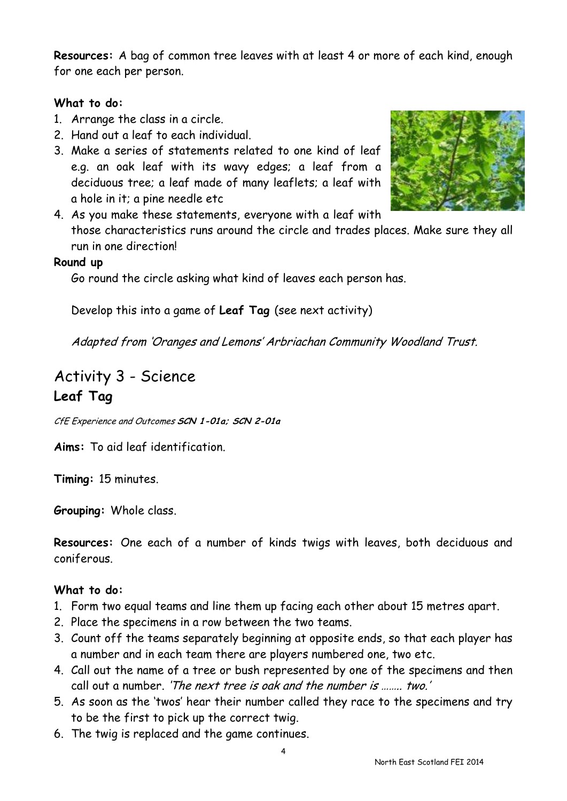**Resources:** A bag of common tree leaves with at least 4 or more of each kind, enough for one each per person.

### **What to do:**

- 1. Arrange the class in a circle.
- 2. Hand out a leaf to each individual.
- 3. Make a series of statements related to one kind of leaf e.g. an oak leaf with its wavy edges; a leaf from a deciduous tree; a leaf made of many leaflets; a leaf with a hole in it; a pine needle etc



4. As you make these statements, everyone with a leaf with those characteristics runs around the circle and trades places. Make sure they all run in one direction!

### **Round up**

Go round the circle asking what kind of leaves each person has.

Develop this into a game of **Leaf Tag** (see next activity)

Adapted from 'Oranges and Lemons' Arbriachan Community Woodland Trust.

## Activity 3 - Science **Leaf Tag**

CfE Experience and Outcomes **SCN 1-01a; SCN 2-01a**

**Aims:** To aid leaf identification.

**Timing:** 15 minutes.

**Grouping:** Whole class.

**Resources:** One each of a number of kinds twigs with leaves, both deciduous and coniferous.

### **What to do:**

- 1. Form two equal teams and line them up facing each other about 15 metres apart.
- 2. Place the specimens in a row between the two teams.
- 3. Count off the teams separately beginning at opposite ends, so that each player has a number and in each team there are players numbered one, two etc.
- 4. Call out the name of a tree or bush represented by one of the specimens and then call out a number. 'The next tree is oak and the number is …….. two.'
- 5. As soon as the 'twos' hear their number called they race to the specimens and try to be the first to pick up the correct twig.
- 6. The twig is replaced and the game continues.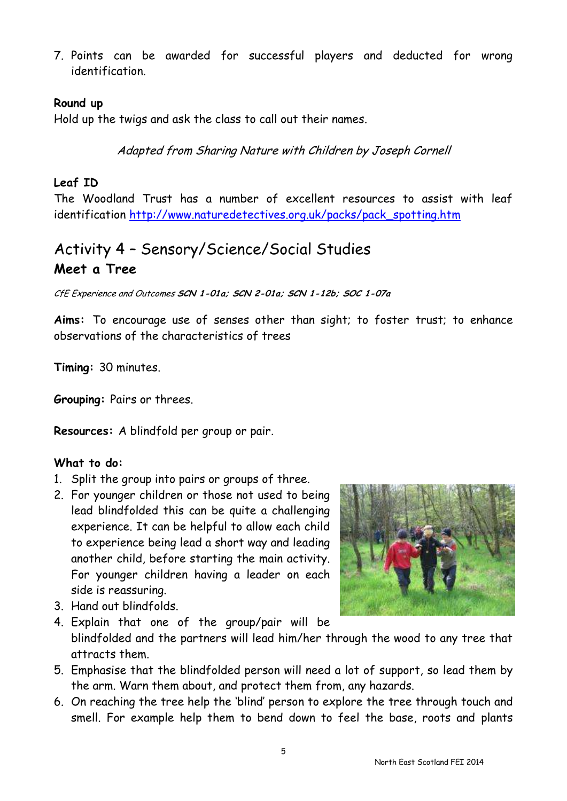7. Points can be awarded for successful players and deducted for wrong identification.

#### **Round up**

Hold up the twigs and ask the class to call out their names.

Adapted from Sharing Nature with Children by Joseph Cornell

#### **Leaf ID**

The Woodland Trust has a number of excellent resources to assist with leaf identification [http://www.naturedetectives.org.uk/packs/pack\\_spotting.htm](http://www.naturedetectives.org.uk/packs/pack_spotting.htm)

# Activity 4 – Sensory/Science/Social Studies **Meet a Tree**

CfE Experience and Outcomes **SCN 1-01a; SCN 2-01a; SCN 1-12b; SOC 1-07a**

**Aims:** To encourage use of senses other than sight; to foster trust; to enhance observations of the characteristics of trees

**Timing:** 30 minutes.

**Grouping:** Pairs or threes.

**Resources:** A blindfold per group or pair.

### **What to do:**

- 1. Split the group into pairs or groups of three.
- 2. For younger children or those not used to being lead blindfolded this can be quite a challenging experience. It can be helpful to allow each child to experience being lead a short way and leading another child, before starting the main activity. For younger children having a leader on each side is reassuring.
- 3. Hand out blindfolds.



- 4. Explain that one of the group/pair will be blindfolded and the partners will lead him/her through the wood to any tree that attracts them.
- 5. Emphasise that the blindfolded person will need a lot of support, so lead them by the arm. Warn them about, and protect them from, any hazards.
- 6. On reaching the tree help the 'blind' person to explore the tree through touch and smell. For example help them to bend down to feel the base, roots and plants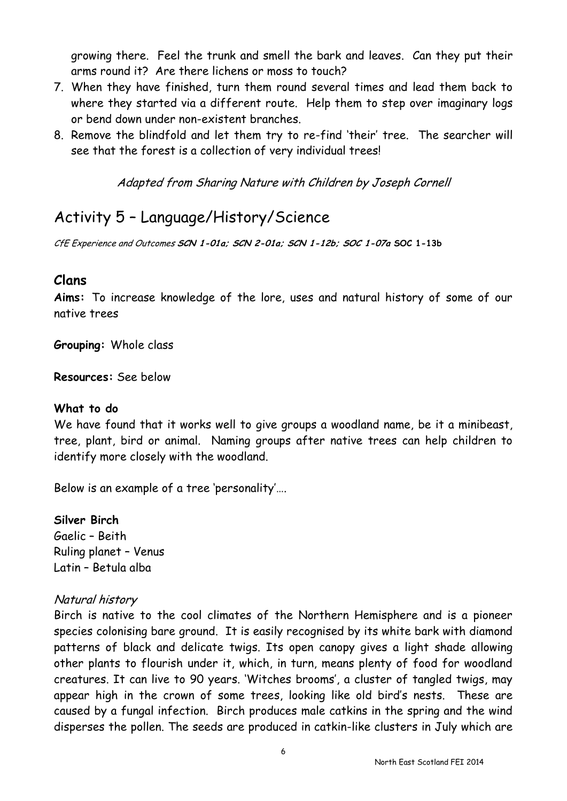growing there. Feel the trunk and smell the bark and leaves. Can they put their arms round it? Are there lichens or moss to touch?

- 7. When they have finished, turn them round several times and lead them back to where they started via a different route. Help them to step over imaginary logs or bend down under non-existent branches.
- 8. Remove the blindfold and let them try to re-find 'their' tree. The searcher will see that the forest is a collection of very individual trees!

Adapted from Sharing Nature with Children by Joseph Cornell

# Activity 5 – Language/History/Science

CfE Experience and Outcomes **SCN 1-01a; SCN 2-01a; SCN 1-12b; SOC 1-07a SOC 1-13b**

### **Clans**

**Aims:** To increase knowledge of the lore, uses and natural history of some of our native trees

**Grouping:** Whole class

**Resources:** See below

### **What to do**

We have found that it works well to give groups a woodland name, be it a minibeast, tree, plant, bird or animal. Naming groups after native trees can help children to identify more closely with the woodland.

Below is an example of a tree 'personality'….

### **Silver Birch**

Gaelic – Beith Ruling planet – Venus Latin – Betula alba

### Natural history

Birch is native to the cool climates of the Northern Hemisphere and is a pioneer species colonising bare ground. It is easily recognised by its white bark with diamond patterns of black and delicate twigs. Its open canopy gives a light shade allowing other plants to flourish under it, which, in turn, means plenty of food for woodland creatures. It can live to 90 years. 'Witches brooms', a cluster of tangled twigs, may appear high in the crown of some trees, looking like old bird's nests. These are caused by a fungal infection. Birch produces male catkins in the spring and the wind disperses the pollen. The seeds are produced in catkin-like clusters in July which are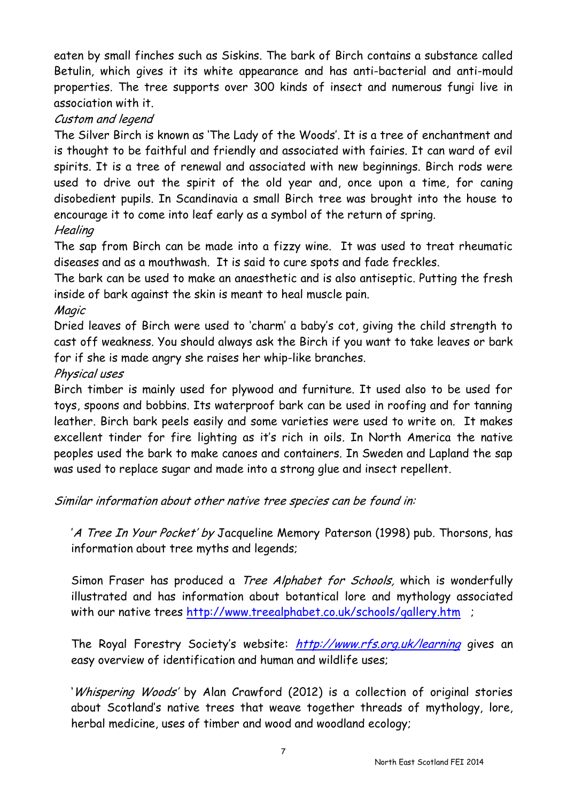eaten by small finches such as Siskins. The bark of Birch contains a substance called Betulin, which gives it its white appearance and has anti-bacterial and anti-mould properties. The tree supports over 300 kinds of insect and numerous fungi live in association with it.

### Custom and legend

The Silver Birch is known as 'The Lady of the Woods'. It is a tree of enchantment and is thought to be faithful and friendly and associated with fairies. It can ward of evil spirits. It is a tree of renewal and associated with new beginnings. Birch rods were used to drive out the spirit of the old year and, once upon a time, for caning disobedient pupils. In Scandinavia a small Birch tree was brought into the house to encourage it to come into leaf early as a symbol of the return of spring.

### **Healing**

The sap from Birch can be made into a fizzy wine. It was used to treat rheumatic diseases and as a mouthwash. It is said to cure spots and fade freckles.

The bark can be used to make an anaesthetic and is also antiseptic. Putting the fresh inside of bark against the skin is meant to heal muscle pain.

Magic

Dried leaves of Birch were used to 'charm' a baby's cot, giving the child strength to cast off weakness. You should always ask the Birch if you want to take leaves or bark for if she is made angry she raises her whip-like branches.

### Physical uses

Birch timber is mainly used for plywood and furniture. It used also to be used for toys, spoons and bobbins. Its waterproof bark can be used in roofing and for tanning leather. Birch bark peels easily and some varieties were used to write on. It makes excellent tinder for fire lighting as it's rich in oils. In North America the native peoples used the bark to make canoes and containers. In Sweden and Lapland the sap was used to replace sugar and made into a strong glue and insect repellent.

Similar information about other native tree species can be found in:

'A Tree In Your Pocket' by Jacqueline Memory Paterson (1998) pub. Thorsons, has information about tree myths and legends;

Simon Fraser has produced a *Tree Alphabet for Schools*, which is wonderfully illustrated and has information about botantical lore and mythology associated with our native trees <http://www.treealphabet.co.uk/schools/gallery.htm>;

The Royal Forestry Society's website: <http://www.rfs.org.uk/learning> gives an easy overview of identification and human and wildlife uses;

'Whispering Woods' by Alan Crawford (2012) is a collection of original stories about Scotland's native trees that weave together threads of mythology, lore, herbal medicine, uses of timber and wood and woodland ecology;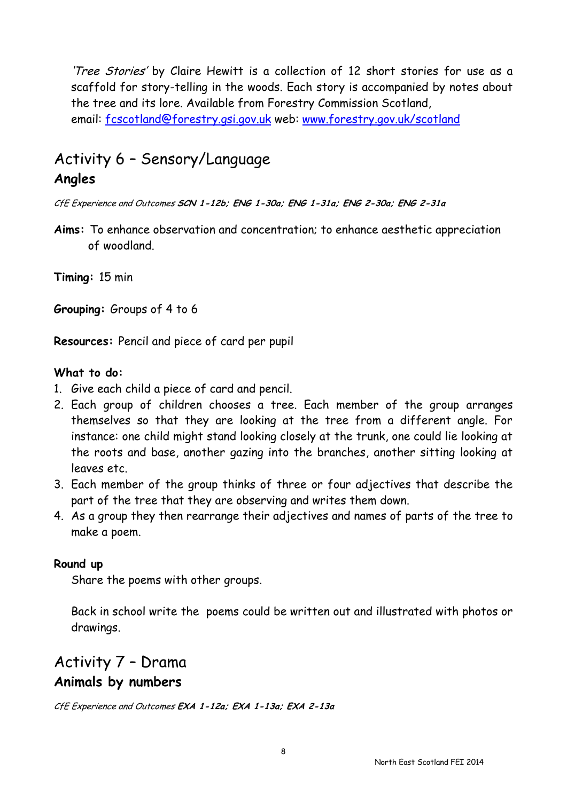'Tree Stories' by Claire Hewitt is a collection of 12 short stories for use as a scaffold for story-telling in the woods. Each story is accompanied by notes about the tree and its lore. Available from Forestry Commission Scotland, email: [fcscotland@forestry.gsi.gov.uk](mailto:fcscotland@forestry.gsi.gov.uk) web: [www.forestry.gov.uk/scotland](http://www.forestry.gov.uk/scotland)

# Activity 6 – Sensory/Language **Angles**

CfE Experience and Outcomes **SCN 1-12b; ENG 1-30a; ENG 1-31a; ENG 2-30a; ENG 2-31a**

**Aims:** To enhance observation and concentration; to enhance aesthetic appreciation of woodland.

**Timing:** 15 min

**Grouping:** Groups of 4 to 6

**Resources:** Pencil and piece of card per pupil

### **What to do:**

- 1. Give each child a piece of card and pencil.
- 2. Each group of children chooses a tree. Each member of the group arranges themselves so that they are looking at the tree from a different angle. For instance: one child might stand looking closely at the trunk, one could lie looking at the roots and base, another gazing into the branches, another sitting looking at leaves etc.
- 3. Each member of the group thinks of three or four adjectives that describe the part of the tree that they are observing and writes them down.
- 4. As a group they then rearrange their adjectives and names of parts of the tree to make a poem.

#### **Round up**

Share the poems with other groups.

Back in school write the poems could be written out and illustrated with photos or drawings.

### Activity 7 – Drama **Animals by numbers**

CfE Experience and Outcomes **EXA 1-12a; EXA 1-13a; EXA 2-13a**